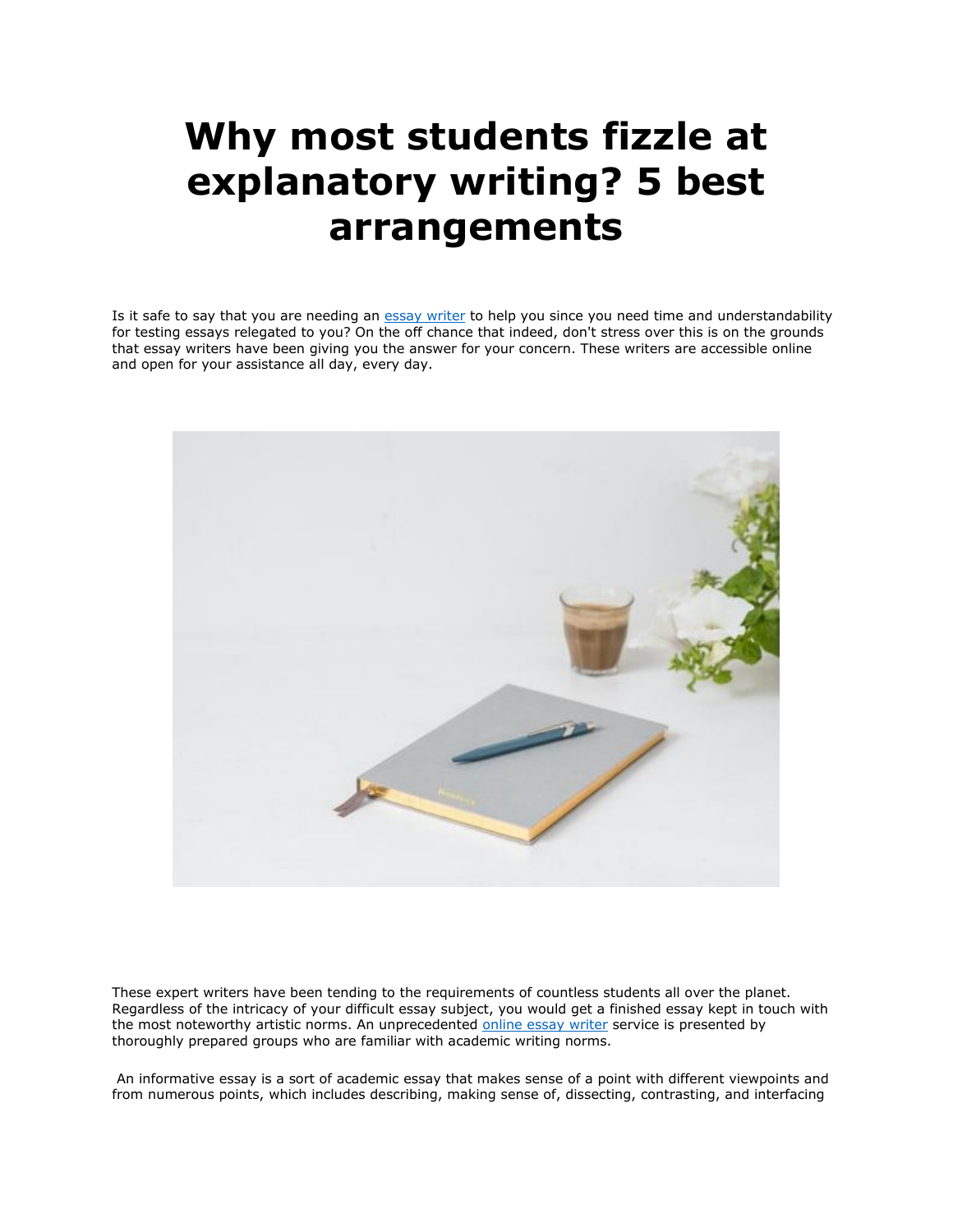## **Why most students fizzle at explanatory writing? 5 best arrangements**

Is it safe to say that you are needing an [essay writer](https://essaywriternow.com/) to help you since you need time and understandability for testing essays relegated to you? On the off chance that indeed, don't stress over this is on the grounds that essay writers have been giving you the answer for your concern. These writers are accessible online and open for your assistance all day, every day.



These expert writers have been tending to the requirements of countless students all over the planet. Regardless of the intricacy of your difficult essay subject, you would get a finished essay kept in touch with the most noteworthy artistic norms. An unprecedented [online essay writer](https://essaywriternow.com/) service is presented by thoroughly prepared groups who are familiar with academic writing norms.

An informative essay is a sort of academic essay that makes sense of a point with different viewpoints and from numerous points, which includes describing, making sense of, dissecting, contrasting, and interfacing